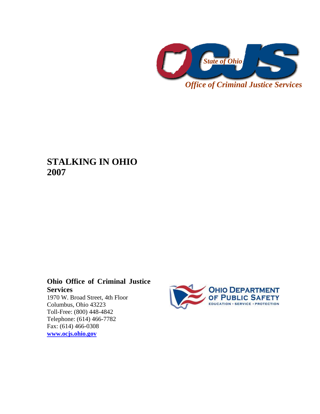

**STALKING IN OHIO 2007** 

# **Ohio Office of Criminal Justice Services**

1970 W. Broad Street, 4th Floor Columbus, Ohio 43223 Toll-Free: (800) 448-4842 Telephone: (614) 466-7782 Fax: (614) 466-0308 **[www.ocjs.ohio.gov](http://www.ocjs.ohio.gov/)**

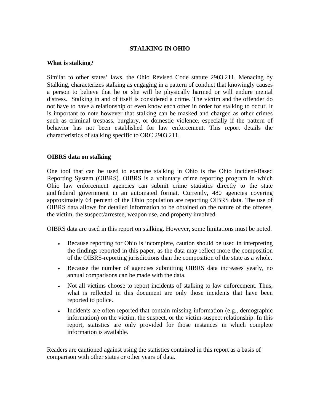## **STALKING IN OHIO**

#### **What is stalking?**

Similar to other states' laws, the Ohio Revised Code statute 2903.211, Menacing by Stalking, characterizes stalking as engaging in a pattern of conduct that knowingly causes a person to believe that he or she will be physically harmed or will endure mental distress. Stalking in and of itself is considered a crime. The victim and the offender do not have to have a relationship or even know each other in order for stalking to occur. It is important to note however that stalking can be masked and charged as other crimes such as criminal trespass, burglary, or domestic violence, especially if the pattern of behavior has not been established for law enforcement. This report details the characteristics of stalking specific to ORC 2903.211.

## **OIBRS data on stalking**

One tool that can be used to examine stalking in Ohio is the Ohio Incident-Based Reporting System (OIBRS). OIBRS is a voluntary crime reporting program in which Ohio law enforcement agencies can submit crime statistics directly to the state and federal government in an automated format. Currently, 480 agencies covering approximately 64 percent of the Ohio population are reporting OIBRS data. The use of OIBRS data allows for detailed information to be obtained on the nature of the offense, the victim, the suspect/arrestee, weapon use, and property involved.

OIBRS data are used in this report on stalking. However, some limitations must be noted.

- Because reporting for Ohio is incomplete, caution should be used in interpreting the findings reported in this paper, as the data may reflect more the composition of the OIBRS-reporting jurisdictions than the composition of the state as a whole.
- Because the number of agencies submitting OIBRS data increases yearly, no annual comparisons can be made with the data.
- Not all victims choose to report incidents of stalking to law enforcement. Thus, what is reflected in this document are only those incidents that have been reported to police.
- Incidents are often reported that contain missing information (e.g., demographic information) on the victim, the suspect, or the victim-suspect relationship. In this report, statistics are only provided for those instances in which complete information is available.

Readers are cautioned against using the statistics contained in this report as a basis of comparison with other states or other years of data.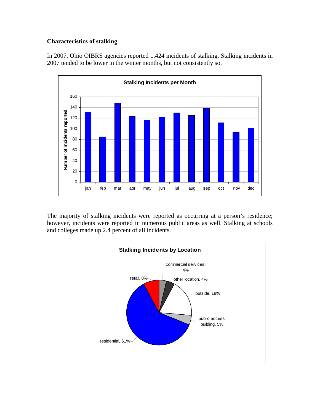# **Characteristics of stalking**

In 2007, Ohio OIBRS agencies reported 1,424 incidents of stalking. Stalking incidents in 2007 tended to be lower in the winter months, but not consistently so.



The majority of stalking incidents were reported as occurring at a person's residence; however, incidents were reported in numerous public areas as well. Stalking at schools and colleges made up 2.4 percent of all incidents.

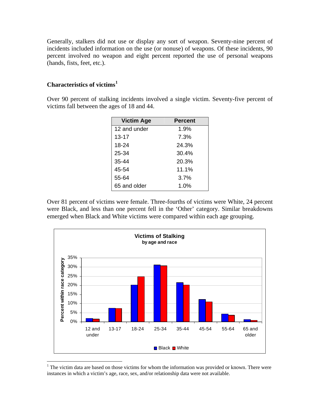Generally, stalkers did not use or display any sort of weapon. Seventy-nine percent of incidents included information on the use (or nonuse) of weapons. Of these incidents, 90 percent involved no weapon and eight percent reported the use of personal weapons (hands, fists, feet, etc.).

# **Characteristics of victims[1](#page-3-0)**

Over 90 percent of stalking incidents involved a single victim. Seventy-five percent of victims fall between the ages of 18 and 44.

| <b>Victim Age</b> | <b>Percent</b> |
|-------------------|----------------|
| 12 and under      | 1.9%           |
| $13 - 17$         | 7.3%           |
| 18-24             | 24.3%          |
| 25-34             | 30.4%          |
| 35-44             | 20.3%          |
| 45-54             | 11.1%          |
| 55-64             | 3.7%           |
| 65 and older      | 1.0%           |

Over 81 percent of victims were female. Three-fourths of victims were White, 24 percent were Black, and less than one percent fell in the 'Other' category. Similar breakdowns emerged when Black and White victims were compared within each age grouping.



<span id="page-3-0"></span> $1$ <sup>1</sup> The victim data are based on those victims for whom the information was provided or known. There were instances in which a victim's age, race, sex, and/or relationship data were not available.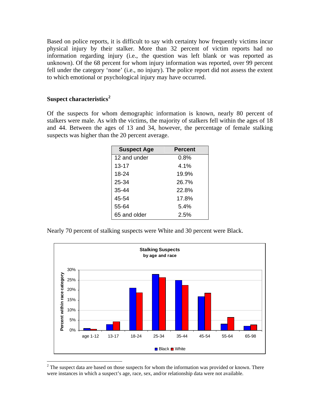Based on police reports, it is difficult to say with certainty how frequently victims incur physical injury by their stalker. More than 32 percent of victim reports had no information regarding injury (i.e., the question was left blank or was reported as unknown). Of the 68 percent for whom injury information was reported, over 99 percent fell under the category 'none' (i.e., no injury). The police report did not assess the extent to which emotional or psychological injury may have occurred.

#### **Suspect characteristics[2](#page-4-0)**

Of the suspects for whom demographic information is known, nearly 80 percent of stalkers were male. As with the victims, the majority of stalkers fell within the ages of 18 and 44. Between the ages of 13 and 34, however, the percentage of female stalking suspects was higher than the 20 percent average.

| <b>Suspect Age</b> | <b>Percent</b> |
|--------------------|----------------|
| 12 and under       | $0.8\%$        |
| $13 - 17$          | $4.1\%$        |
| 18-24              | 19.9%          |
| 25-34              | 26.7%          |
| $35 - 44$          | 22.8%          |
| 45-54              | 17.8%          |
| 55-64              | 5.4%           |
| 65 and older       | 2.5%           |

Nearly 70 percent of stalking suspects were White and 30 percent were Black.



<span id="page-4-0"></span> $2<sup>2</sup>$  The suspect data are based on those suspects for whom the information was provided or known. There were instances in which a suspect's age, race, sex, and/or relationship data were not available.